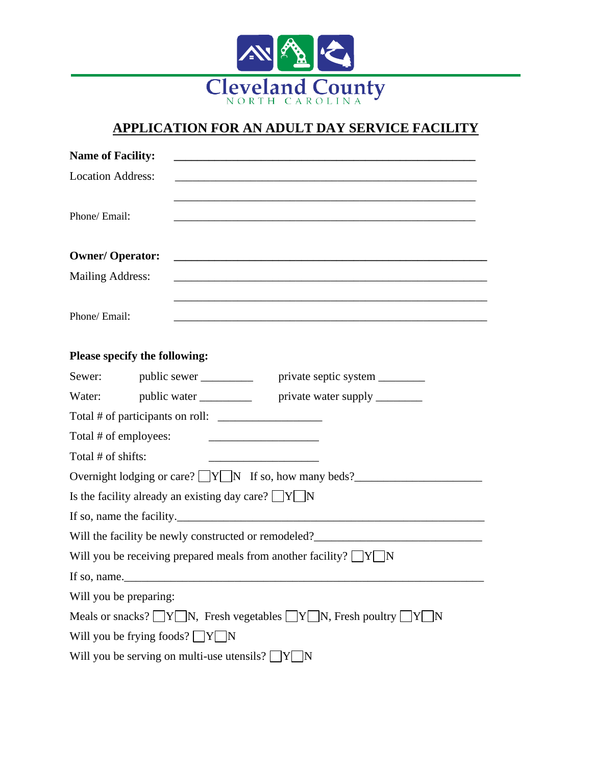

## **APPLICATION FOR AN ADULT DAY SERVICE FACILITY**

| <b>Name of Facility:</b>                                                                                                               |  |
|----------------------------------------------------------------------------------------------------------------------------------------|--|
| <b>Location Address:</b>                                                                                                               |  |
| Phone/ Email:<br><u> 1980 - Johann Stoff, deutscher Stoff, der Stoff, der Stoff, der Stoff, der Stoff, der Stoff, der Stoff, der S</u> |  |
| <b>Owner/ Operator:</b><br><u> 2008 - Jan Barnett, fransk politik (d. 1888)</u>                                                        |  |
| Mailing Address:                                                                                                                       |  |
| Phone/ Email:                                                                                                                          |  |
| Please specify the following:                                                                                                          |  |
| Sewer: public sewer ____________ private septic system ________                                                                        |  |
| Water: public water ____________ private water supply ________                                                                         |  |
|                                                                                                                                        |  |
| Total # of employees:                                                                                                                  |  |
| Total # of shifts:                                                                                                                     |  |
| Overnight lodging or care? $\sqrt{Y}$ N If so, how many beds?                                                                          |  |
| Is the facility already an existing day care? $\Box Y \Box N$                                                                          |  |
| If so, name the facility.                                                                                                              |  |
| Will the facility be newly constructed or remodeled?                                                                                   |  |
| Will you be receiving prepared meals from another facility? $\Box Y \Box N$                                                            |  |
| If so, name.                                                                                                                           |  |
| Will you be preparing:                                                                                                                 |  |
| Meals or snacks? $\Box Y \Box N$ , Fresh vegetables $\Box Y \Box N$ , Fresh poultry $\Box Y \Box N$                                    |  |
| Will you be frying foods? $\Box Y \Box N$                                                                                              |  |
| Will you be serving on multi-use utensils? $\boxed{Y}$<br> N                                                                           |  |